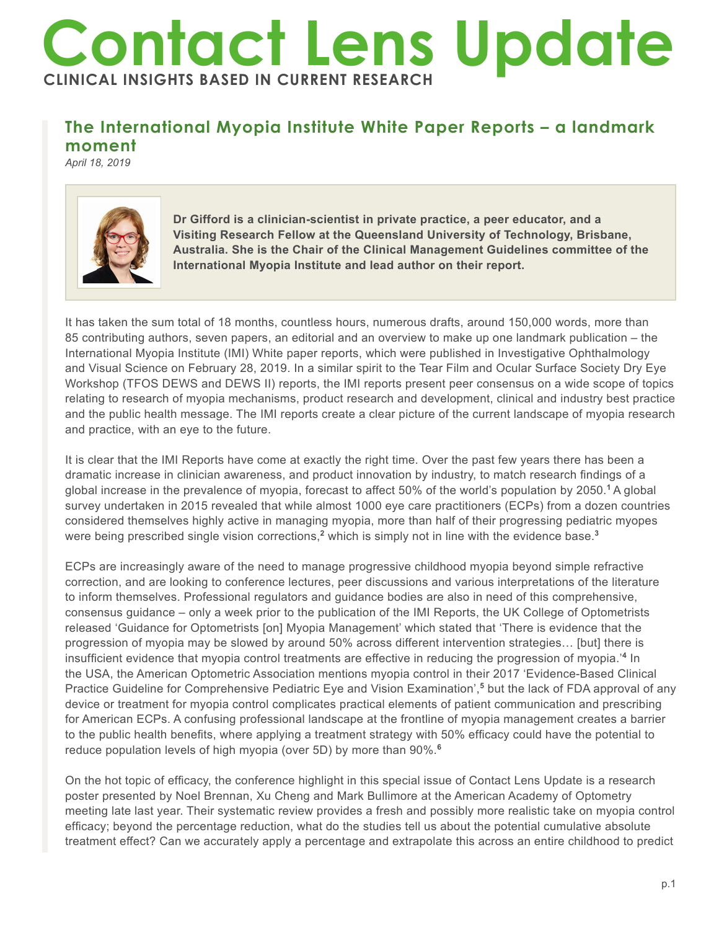## **Contact Lens Update CLINICAL INSIGHTS BASED IN CURRENT RESEARCH**

## **The International Myopia Institute White Paper Reports – a landmark moment**

*April 18, 2019*



**Dr Gifford is a clinician-scientist in private practice, a peer educator, and a Visiting Research Fellow at the Queensland University of Technology, Brisbane, Australia. She is the Chair of the Clinical Management Guidelines committee of the International Myopia Institute and lead author on their report.**

It has taken the sum total of 18 months, countless hours, numerous drafts, around 150,000 words, more than 85 contributing authors, seven papers, an editorial and an overview to make up one landmark publication – the International Myopia Institute (IMI) White paper reports, which were published in Investigative Ophthalmology and Visual Science on February 28, 2019. In a similar spirit to the Tear Film and Ocular Surface Society Dry Eye Workshop (TFOS DEWS and DEWS II) reports, the IMI reports present peer consensus on a wide scope of topics relating to research of myopia mechanisms, product research and development, clinical and industry best practice and the public health message. The IMI reports create a clear picture of the current landscape of myopia research and practice, with an eye to the future.

It is clear that the IMI Reports have come at exactly the right time. Over the past few years there has been a dramatic increase in clinician awareness, and product innovation by industry, to match research findings of a global increase in the prevalence of myopia, forecast to affect 50% of the world's population by 2050.**<sup>1</sup>**A global survey undertaken in 2015 revealed that while almost 1000 eye care practitioners (ECPs) from a dozen countries considered themselves highly active in managing myopia, more than half of their progressing pediatric myopes were being prescribed single vision corrections,**<sup>2</sup>** which is simply not in line with the evidence base.**<sup>3</sup>**

ECPs are increasingly aware of the need to manage progressive childhood myopia beyond simple refractive correction, and are looking to conference lectures, peer discussions and various interpretations of the literature to inform themselves. Professional regulators and guidance bodies are also in need of this comprehensive, consensus guidance – only a week prior to the publication of the IMI Reports, the UK College of Optometrists released 'Guidance for Optometrists [on] Myopia Management' which stated that 'There is evidence that the progression of myopia may be slowed by around 50% across different intervention strategies… [but] there is insufficient evidence that myopia control treatments are effective in reducing the progression of myopia.'**<sup>4</sup>** In the USA, the American Optometric Association mentions myopia control in their 2017 'Evidence-Based Clinical Practice Guideline for Comprehensive Pediatric Eye and Vision Examination',**<sup>5</sup>** but the lack of FDA approval of any device or treatment for myopia control complicates practical elements of patient communication and prescribing for American ECPs. A confusing professional landscape at the frontline of myopia management creates a barrier to the public health benefits, where applying a treatment strategy with 50% efficacy could have the potential to reduce population levels of high myopia (over 5D) by more than 90%.**<sup>6</sup>**

On the hot topic of efficacy, the conference highlight in this special issue of Contact Lens Update is a research poster presented by Noel Brennan, Xu Cheng and Mark Bullimore at the American Academy of Optometry meeting late last year. Their systematic review provides a fresh and possibly more realistic take on myopia control efficacy; beyond the percentage reduction, what do the studies tell us about the potential cumulative absolute treatment effect? Can we accurately apply a percentage and extrapolate this across an entire childhood to predict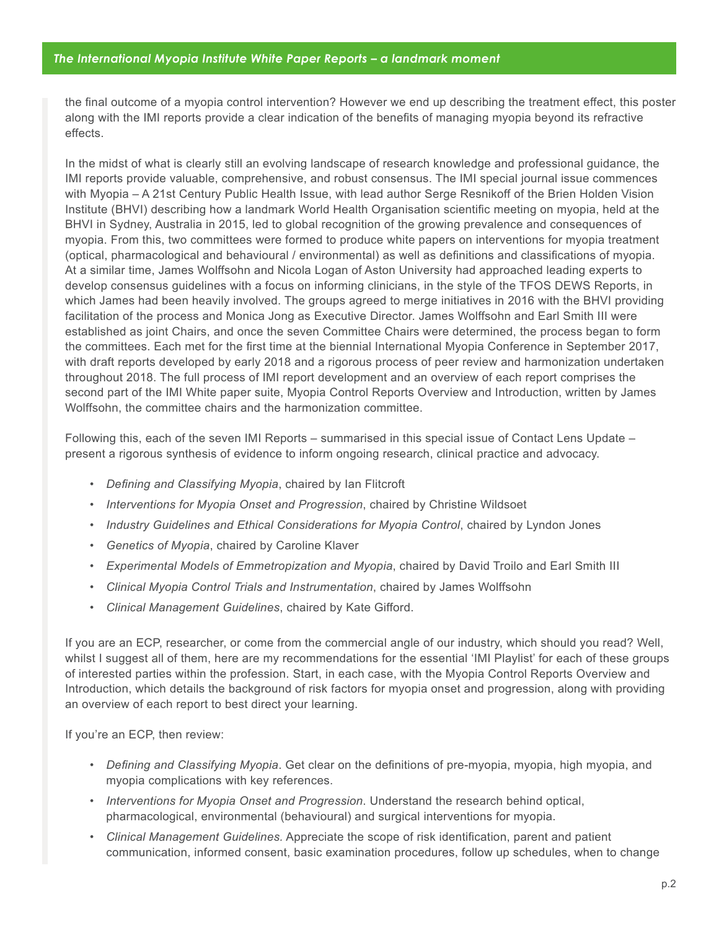the final outcome of a myopia control intervention? However we end up describing the treatment effect, this poster along with the IMI reports provide a clear indication of the benefits of managing myopia beyond its refractive effects.

In the midst of what is clearly still an evolving landscape of research knowledge and professional guidance, the IMI reports provide valuable, comprehensive, and robust consensus. The IMI special journal issue commences with Myopia – A 21st Century Public Health Issue, with lead author Serge Resnikoff of the Brien Holden Vision Institute (BHVI) describing how a landmark World Health Organisation scientific meeting on myopia, held at the BHVI in Sydney, Australia in 2015, led to global recognition of the growing prevalence and consequences of myopia. From this, two committees were formed to produce white papers on interventions for myopia treatment (optical, pharmacological and behavioural / environmental) as well as definitions and classifications of myopia. At a similar time, James Wolffsohn and Nicola Logan of Aston University had approached leading experts to develop consensus guidelines with a focus on informing clinicians, in the style of the TFOS DEWS Reports, in which James had been heavily involved. The groups agreed to merge initiatives in 2016 with the BHVI providing facilitation of the process and Monica Jong as Executive Director. James Wolffsohn and Earl Smith III were established as joint Chairs, and once the seven Committee Chairs were determined, the process began to form the committees. Each met for the first time at the biennial International Myopia Conference in September 2017, with draft reports developed by early 2018 and a rigorous process of peer review and harmonization undertaken throughout 2018. The full process of IMI report development and an overview of each report comprises the second part of the IMI White paper suite, Myopia Control Reports Overview and Introduction, written by James Wolffsohn, the committee chairs and the harmonization committee.

Following this, each of the seven IMI Reports – summarised in this special issue of Contact Lens Update – present a rigorous synthesis of evidence to inform ongoing research, clinical practice and advocacy.

- *Defining and Classifying Myopia*, chaired by Ian Flitcroft
- *Interventions for Myopia Onset and Progression*, chaired by Christine Wildsoet
- *Industry Guidelines and Ethical Considerations for Myopia Control*, chaired by Lyndon Jones
- *Genetics of Myopia*, chaired by Caroline Klaver
- *Experimental Models of Emmetropization and Myopia*, chaired by David Troilo and Earl Smith III
- *Clinical Myopia Control Trials and Instrumentation*, chaired by James Wolffsohn
- *Clinical Management Guidelines*, chaired by Kate Gifford.

If you are an ECP, researcher, or come from the commercial angle of our industry, which should you read? Well, whilst I suggest all of them, here are my recommendations for the essential 'IMI Playlist' for each of these groups of interested parties within the profession. Start, in each case, with the Myopia Control Reports Overview and Introduction, which details the background of risk factors for myopia onset and progression, along with providing an overview of each report to best direct your learning.

If you're an ECP, then review:

- *Defining and Classifying Myopia*. Get clear on the definitions of pre-myopia, myopia, high myopia, and myopia complications with key references.
- *Interventions for Myopia Onset and Progression*. Understand the research behind optical, pharmacological, environmental (behavioural) and surgical interventions for myopia.
- *Clinical Management Guidelines.* Appreciate the scope of risk identification, parent and patient communication, informed consent, basic examination procedures, follow up schedules, when to change